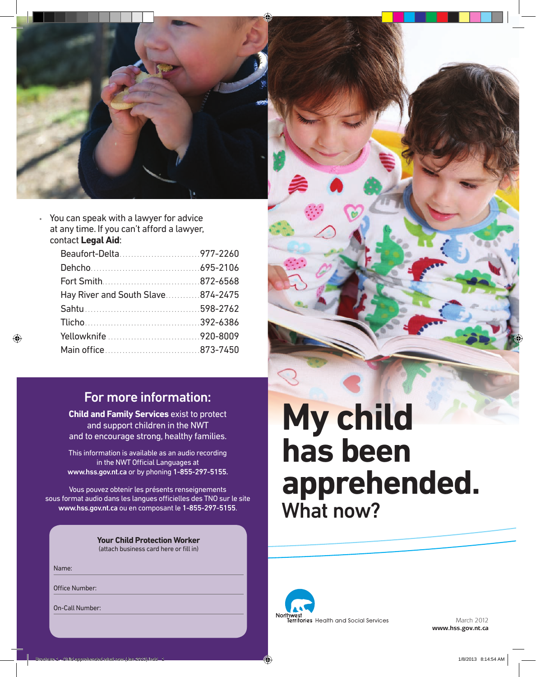

• You can speak with a lawyer for advice at any time. If you can't afford a lawyer, contact **Legal Aid**:

| Beaufort-Delta977-2260            |  |
|-----------------------------------|--|
|                                   |  |
|                                   |  |
| Hay River and South Slave874-2475 |  |
|                                   |  |
|                                   |  |
|                                   |  |
|                                   |  |
|                                   |  |

## For more information:

**Child and Family Services** exist to protect and support children in the NWT and to encourage strong, healthy families.

This information is available as an audio recording in the NWT Official Languages at www.hss.gov.nt.ca or by phoning 1-855-297-5155.

Vous pouvez obtenir les présents renseignements sous format audio dans les langues officielles des TNO sur le site www.hss.gov.nt.ca ou en composant le 1-855-297-5155.

> **Your Child Protection Worker** (attach business card here or fill in)

Name:

Office Number:

On-Call Number:

# **My child has been apprehended.** What now?



March 2012 **www.hss.gov.nt.ca**